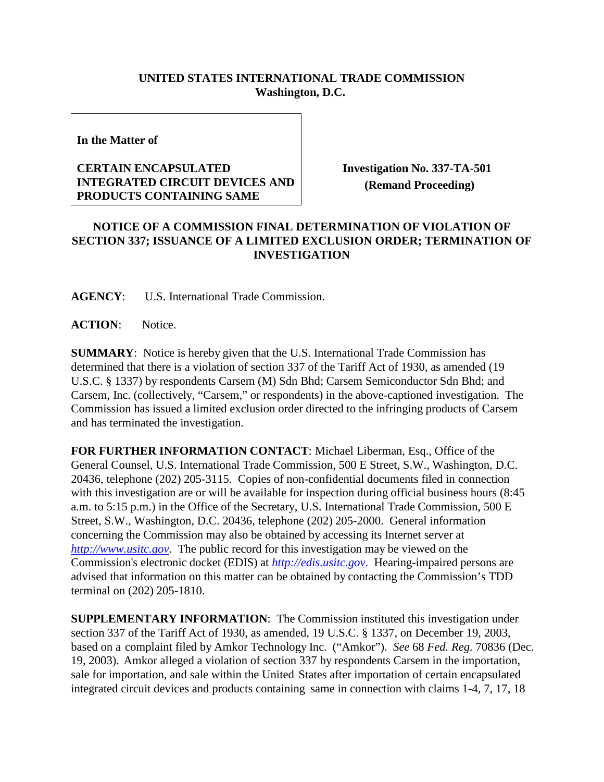## **UNITED STATES INTERNATIONAL TRADE COMMISSION Washington, D.C.**

**In the Matter of**

## **CERTAIN ENCAPSULATED INTEGRATED CIRCUIT DEVICES AND PRODUCTS CONTAINING SAME**

**Investigation No. 337-TA-501 (Remand Proceeding)**

## **NOTICE OF A COMMISSION FINAL DETERMINATION OF VIOLATION OF SECTION 337; ISSUANCE OF A LIMITED EXCLUSION ORDER; TERMINATION OF INVESTIGATION**

**AGENCY**: U.S. International Trade Commission.

**ACTION**: Notice.

**SUMMARY**: Notice is hereby given that the U.S. International Trade Commission has determined that there is a violation of section 337 of the Tariff Act of 1930, as amended (19 U.S.C. § 1337) by respondents Carsem (M) Sdn Bhd; Carsem Semiconductor Sdn Bhd; and Carsem, Inc. (collectively, "Carsem," or respondents) in the above-captioned investigation. The Commission has issued a limited exclusion order directed to the infringing products of Carsem and has terminated the investigation.

**FOR FURTHER INFORMATION CONTACT**: Michael Liberman, Esq., Office of the General Counsel, U.S. International Trade Commission, 500 E Street, S.W., Washington, D.C. 20436, telephone (202) 205-3115. Copies of non-confidential documents filed in connection with this investigation are or will be available for inspection during official business hours (8:45 a.m. to 5:15 p.m.) in the Office of the Secretary, U.S. International Trade Commission, 500 E Street, S.W., Washington, D.C. 20436, telephone (202) 205-2000. General information concerning the Commission may also be obtained by accessing its Internet server at *[http://www.usitc.gov](http://www.usitc.gov/)*. The public record for this investigation may be viewed on the Commission's electronic docket (EDIS) at *[http://edis.usitc.gov](http://edis.usitc.gov./)*. Hearing-impaired persons are advised that information on this matter can be obtained by contacting the Commission's TDD terminal on (202) 205-1810.

**SUPPLEMENTARY INFORMATION**: The Commission instituted this investigation under section 337 of the Tariff Act of 1930, as amended, 19 U.S.C. § 1337, on December 19, 2003, based on a complaint filed by Amkor Technology Inc. ("Amkor"). *See* 68 *Fed. Reg.* 70836 (Dec. 19, 2003). Amkor alleged a violation of section 337 by respondents Carsem in the importation, sale for importation, and sale within the United States after importation of certain encapsulated integrated circuit devices and products containing same in connection with claims 1-4, 7, 17, 18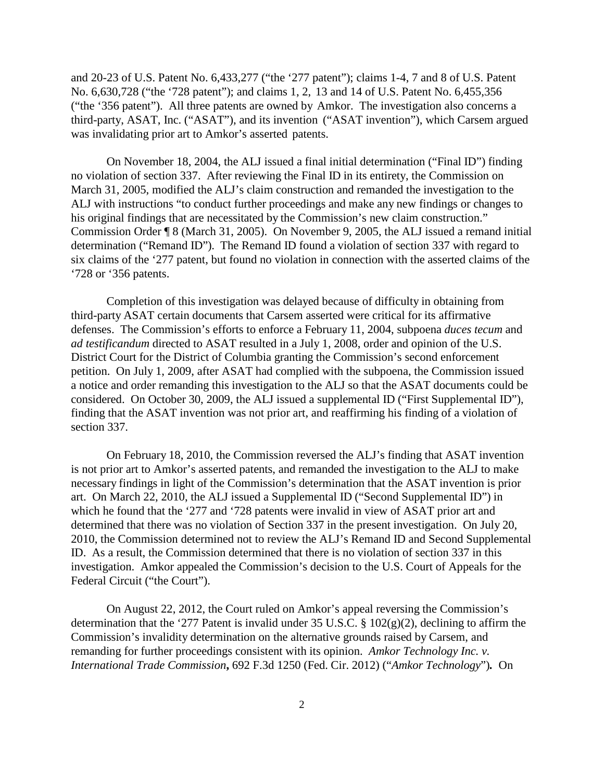and 20-23 of U.S. Patent No. 6,433,277 ("the '277 patent"); claims 1-4, 7 and 8 of U.S. Patent No. 6,630,728 ("the '728 patent"); and claims 1, 2, 13 and 14 of U.S. Patent No. 6,455,356 ("the '356 patent"). All three patents are owned by Amkor. The investigation also concerns a third-party, ASAT, Inc. ("ASAT"), and its invention ("ASAT invention"), which Carsem argued was invalidating prior art to Amkor's asserted patents.

On November 18, 2004, the ALJ issued a final initial determination ("Final ID") finding no violation of section 337. After reviewing the Final ID in its entirety, the Commission on March 31, 2005, modified the ALJ's claim construction and remanded the investigation to the ALJ with instructions "to conduct further proceedings and make any new findings or changes to his original findings that are necessitated by the Commission's new claim construction." Commission Order ¶ 8 (March 31, 2005). On November 9, 2005, the ALJ issued a remand initial determination ("Remand ID"). The Remand ID found a violation of section 337 with regard to six claims of the '277 patent, but found no violation in connection with the asserted claims of the '728 or '356 patents.

Completion of this investigation was delayed because of difficulty in obtaining from third-party ASAT certain documents that Carsem asserted were critical for its affirmative defenses. The Commission's efforts to enforce a February 11, 2004, subpoena *duces tecum* and *ad testificandum* directed to ASAT resulted in a July 1, 2008, order and opinion of the U.S. District Court for the District of Columbia granting the Commission's second enforcement petition. On July 1, 2009, after ASAT had complied with the subpoena, the Commission issued a notice and order remanding this investigation to the ALJ so that the ASAT documents could be considered. On October 30, 2009, the ALJ issued a supplemental ID ("First Supplemental ID"), finding that the ASAT invention was not prior art, and reaffirming his finding of a violation of section 337.

On February 18, 2010, the Commission reversed the ALJ's finding that ASAT invention is not prior art to Amkor's asserted patents, and remanded the investigation to the ALJ to make necessary findings in light of the Commission's determination that the ASAT invention is prior art. On March 22, 2010, the ALJ issued a Supplemental ID ("Second Supplemental ID") in which he found that the '277 and '728 patents were invalid in view of ASAT prior art and determined that there was no violation of Section 337 in the present investigation. On July 20, 2010, the Commission determined not to review the ALJ's Remand ID and Second Supplemental ID. As a result, the Commission determined that there is no violation of section 337 in this investigation. Amkor appealed the Commission's decision to the U.S. Court of Appeals for the Federal Circuit ("the Court").

On August 22, 2012, the Court ruled on Amkor's appeal reversing the Commission's determination that the '277 Patent is invalid under 35 U.S.C. § 102(g)(2), declining to affirm the Commission's invalidity determination on the alternative grounds raised by Carsem, and remanding for further proceedings consistent with its opinion. *Amkor Technology Inc. v. International Trade Commission***,** 692 F.3d 1250 (Fed. Cir. 2012) ("*Amkor Technology*")*.* On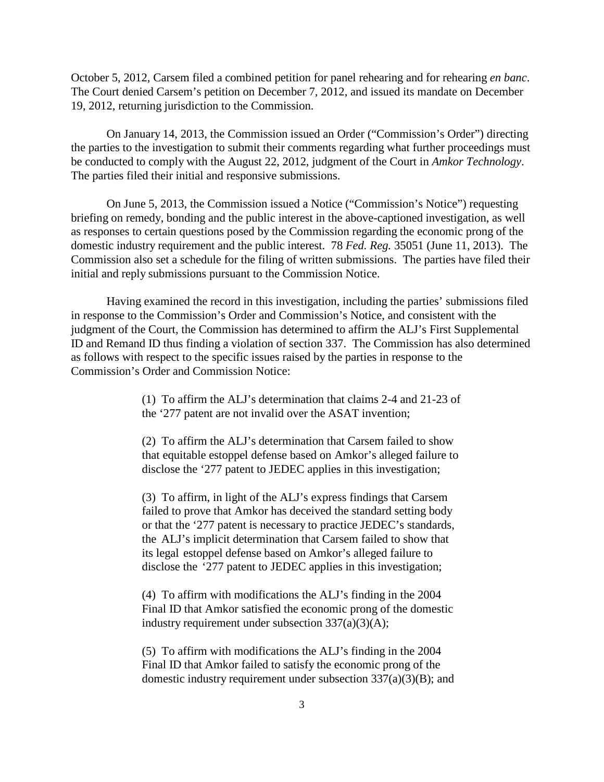October 5, 2012, Carsem filed a combined petition for panel rehearing and for rehearing *en banc*. The Court denied Carsem's petition on December 7, 2012, and issued its mandate on December 19, 2012, returning jurisdiction to the Commission.

On January 14, 2013, the Commission issued an Order ("Commission's Order") directing the parties to the investigation to submit their comments regarding what further proceedings must be conducted to comply with the August 22, 2012, judgment of the Court in *Amkor Technology*. The parties filed their initial and responsive submissions.

On June 5, 2013, the Commission issued a Notice ("Commission's Notice") requesting briefing on remedy, bonding and the public interest in the above-captioned investigation, as well as responses to certain questions posed by the Commission regarding the economic prong of the domestic industry requirement and the public interest. 78 *Fed. Reg.* 35051 (June 11, 2013). The Commission also set a schedule for the filing of written submissions. The parties have filed their initial and reply submissions pursuant to the Commission Notice.

Having examined the record in this investigation, including the parties' submissions filed in response to the Commission's Order and Commission's Notice, and consistent with the judgment of the Court, the Commission has determined to affirm the ALJ's First Supplemental ID and Remand ID thus finding a violation of section 337. The Commission has also determined as follows with respect to the specific issues raised by the parties in response to the Commission's Order and Commission Notice:

> (1) To affirm the ALJ's determination that claims 2-4 and 21-23 of the '277 patent are not invalid over the ASAT invention;

> (2) To affirm the ALJ's determination that Carsem failed to show that equitable estoppel defense based on Amkor's alleged failure to disclose the '277 patent to JEDEC applies in this investigation;

(3) To affirm, in light of the ALJ's express findings that Carsem failed to prove that Amkor has deceived the standard setting body or that the '277 patent is necessary to practice JEDEC's standards, the ALJ's implicit determination that Carsem failed to show that its legal estoppel defense based on Amkor's alleged failure to disclose the '277 patent to JEDEC applies in this investigation;

(4) To affirm with modifications the ALJ's finding in the 2004 Final ID that Amkor satisfied the economic prong of the domestic industry requirement under subsection  $337(a)(3)(A)$ ;

(5) To affirm with modifications the ALJ's finding in the 2004 Final ID that Amkor failed to satisfy the economic prong of the domestic industry requirement under subsection 337(a)(3)(B); and